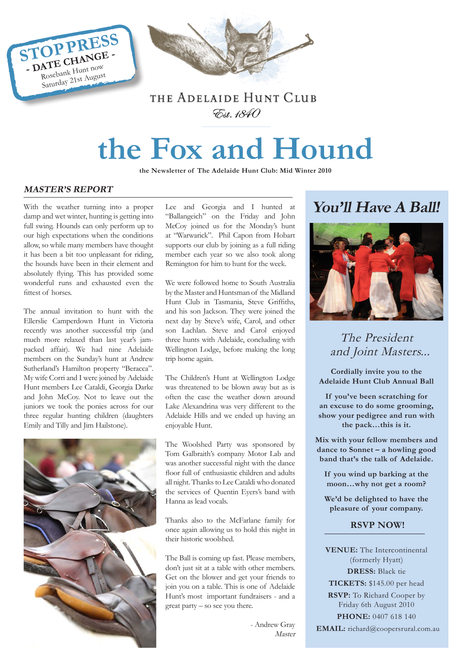

### THE ADELAIDE HUNT CLUB Est. 1840

# **the Fox and Hound**

**the Newsletter of The Adelaide Hunt Club: Mid Winter 2010**

#### **MASTER'S REPORT**

With the weather turning into a proper damp and wet winter, hunting is getting into full swing. Hounds can only perform up to our high expectations when the conditions allow, so while many members have thought it has been a bit too unpleasant for riding, the hounds have been in their element and absolutely flying. This has provided some wonderful runs and exhausted even the fittest of horses.

The annual invitation to hunt with the Ellerslie Camperdown Hunt in Victoria recently was another successful trip (and much more relaxed than last year's jampacked affair). We had nine Adelaide members on the Sunday's hunt at Andrew Sutherland's Hamilton property "Beracca". My wife Corri and I were joined by Adelaide Hunt members Lee Cataldi, Georgia Darke and John McCoy. Not to leave out the juniors we took the ponies across for our three regular hunting children (daughters Emily and Tilly and Jim Hailstone).



Lee and Georgia and I hunted at "Ballangeich" on the Friday and John McCoy joined us for the Monday's hunt at "Warwarick". Phil Capon from Hobart supports our club by joining as a full riding member each year so we also took along Remington for him to hunt for the week.

We were followed home to South Australia by the Master and Huntsman of the Midland Hunt Club in Tasmania, Steve Griffiths, and his son Jackson. They were joined the next day by Steve's wife, Carol, and other son Lachlan. Steve and Carol enjoyed three hunts with Adelaide, concluding with Wellington Lodge, before making the long trip home again.

The Children's Hunt at Wellington Lodge was threatened to be blown away but as is often the case the weather down around Lake Alexandrina was very different to the Adelaide Hills and we ended up having an enjoyable Hunt.

The Woolshed Party was sponsored by Tom Galbraith's company Motor Lab and was another successful night with the dance floor full of enthusiastic children and adults all night. Thanks to Lee Cataldi who donated the services of Quentin Eyers's band with Hanna as lead vocals.

Thanks also to the McFarlane family for once again allowing us to hold this night in their historic woolshed.

The Ball is coming up fast. Please members, don't just sit at a table with other members. Get on the blower and get your friends to join you on a table. This is one of Adelaide Hunt's most important fundraisers - and a great party – so see you there.

> - Andrew Gray Master

## **You'll Have A Ball!**



The President and Joint Masters...

**Cordially invite you to the Adelaide Hunt Club Annual Ball**

**If you've been scratching for an excuse to do some grooming, show your pedigree and run with the pack…this is it.**

**Mix with your fellow members and dance to Sonnet – a howling good band that's the talk of Adelaide.**

**If you wind up barking at the moon…why not get a room?**

**We'd be delighted to have the pleasure of your company.**

#### **RSVP NOW!**

**VENUE:** The Intercontinental (formerly Hyatt) **DRESS:** Black tie **TICKETS:** \$145.00 per head **RSVP:** To Richard Cooper by Friday 6th August 2010 **PHONE:** 0407 618 140  **EMAIL:** richard@coopersrural.com.au